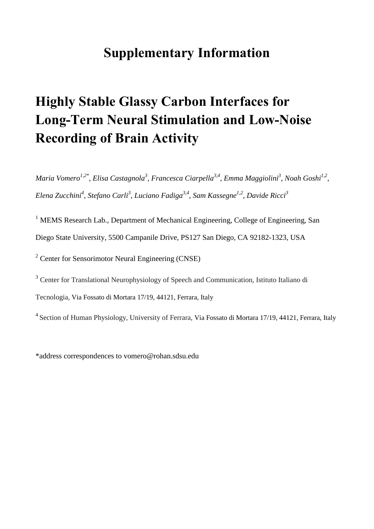## **Supplementary Information**

## **Highly Stable Glassy Carbon Interfaces for Long-Term Neural Stimulation and Low-Noise Recording of Brain Activity**

*Maria Vomero1,2\*, Elisa Castagnola3 , Francesca Ciarpella3,4, Emma Maggiolini3 , Noah Goshi1,2, Elena Zucchini<sup>4</sup> , Stefano Carli<sup>3</sup> , Luciano Fadiga3,4, Sam Kassegne1,2, Davide Ricci3* 

<sup>1</sup> MEMS Research Lab., Department of Mechanical Engineering, College of Engineering, San Diego State University, 5500 Campanile Drive, PS127 San Diego, CA 92182-1323, USA

<sup>2</sup> Center for Sensorimotor Neural Engineering (CNSE)

<sup>3</sup> Center for Translational Neurophysiology of Speech and Communication, Istituto Italiano di Tecnologia, Via Fossato di Mortara 17/19, 44121, Ferrara, Italy

4 Section of Human Physiology, University of Ferrara, Via Fossato di Mortara 17/19, 44121, Ferrara, Italy

\*address correspondences to vomero@rohan.sdsu.edu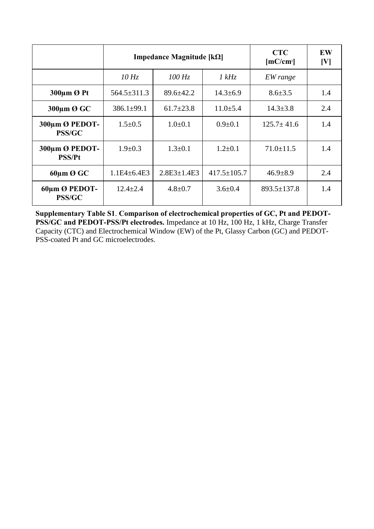|                                 | <b>Impedance Magnitude [<math>k\Omega</math>]</b> |                   |                   | <b>CTC</b><br>[mC/cm <sup>2</sup> ] | EW<br>[V] |
|---------------------------------|---------------------------------------------------|-------------------|-------------------|-------------------------------------|-----------|
|                                 | 10 Hz                                             | $100$ Hz          | 1 kHz             | EW range                            |           |
| 300µm Ø Pt                      | $564.5 \pm 311.3$                                 | $89.6 \pm 42.2$   | $14.3 \pm 6.9$    | $8.6 \pm 3.5$                       | 1.4       |
| 300µm Ø GC                      | $386.1 \pm 99.1$                                  | $61.7 \pm 23.8$   | $11.0 \pm 5.4$    | $14.3 \pm 3.8$                      | 2.4       |
| 300µm Ø PEDOT-<br><b>PSS/GC</b> | $1.5 \pm 0.5$                                     | $1.0\pm 0.1$      | $0.9 \pm 0.1$     | $125.7 \pm 41.6$                    | 1.4       |
| 300µm Ø PEDOT-<br><b>PSS/Pt</b> | $1.9 \pm 0.3$                                     | $1.3 \pm 0.1$     | $1.2 \pm 0.1$     | $71.0 \pm 11.5$                     | 1.4       |
| $60 \mu m \mathcal{O}$ GC       | $1.1E4 + 6.4E3$                                   | $2.8E3 \pm 1.4E3$ | $417.5 \pm 105.7$ | $46.9 \pm 8.9$                      | 2.4       |
| 60um Ø PEDOT-<br><b>PSS/GC</b>  | $12.4 \pm 2.4$                                    | $4.8 \pm 0.7$     | $3.6 \pm 0.4$     | $893.5 \pm 137.8$                   | 1.4       |

**Supplementary Table S1**. **Comparison of electrochemical properties of GC, Pt and PEDOT-PSS/GC and PEDOT-PSS/Pt electrodes.** Impedance at 10 Hz, 100 Hz, 1 kHz, Charge Transfer Capacity (CTC) and Electrochemical Window (EW) of the Pt, Glassy Carbon (GC) and PEDOT-PSS-coated Pt and GC microelectrodes.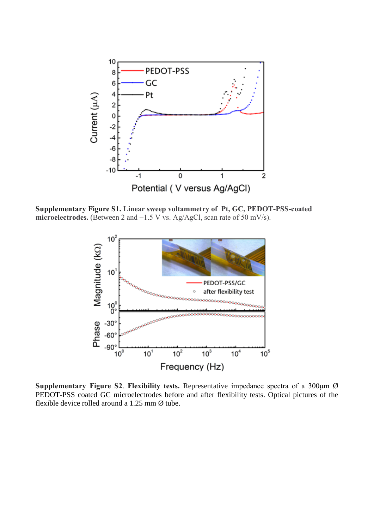

**Supplementary Figure S1. Linear sweep voltammetry of Pt, GC, PEDOT-PSS-coated microelectrodes.** (Between 2 and −1.5 V vs. Ag/AgCl, scan rate of 50 mV/s).



**Supplementary Figure S2**. **Flexibility tests.** Representative impedance spectra of a 300μm Ø PEDOT-PSS coated GC microelectrodes before and after flexibility tests. Optical pictures of the flexible device rolled around a 1.25 mm Ø tube.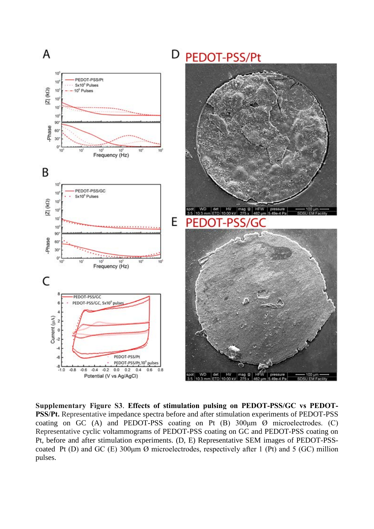

**Supplementary Figure S3**. **Effects of stimulation pulsing on PEDOT-PSS/GC vs PEDOT-PSS/Pt.** Representative impedance spectra before and after stimulation experiments of PEDOT-PSS coating on GC (A) and PEDOT-PSS coating on Pt (B)  $300 \mu m$   $\varnothing$  microelectrodes. (C) Representative cyclic voltammograms of PEDOT-PSS coating on GC and PEDOT-PSS coating on Pt, before and after stimulation experiments. (D, E) Representative SEM images of PEDOT-PSScoated Pt (D) and GC (E)  $300 \mu m$  Ø microelectrodes, respectively after 1 (Pt) and 5 (GC) million pulses.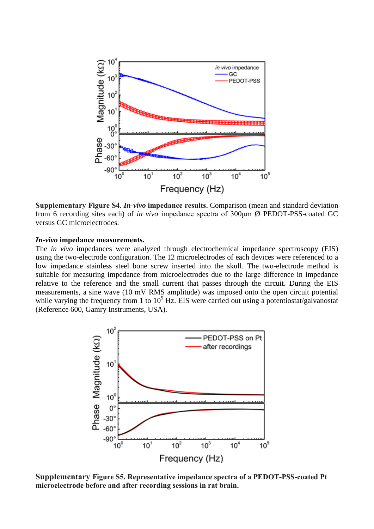

**Supplementary Figure S4**. *In-vivo* **impedance results.** Comparison (mean and standard deviation from 6 recording sites each) of *in vivo* impedance spectra of 300μm Ø PEDOT-PSS-coated GC versus GC microelectrodes.

## *In-vivo* **impedance measurements.**

The *in vivo* impedances were analyzed through electrochemical impedance spectroscopy (EIS) using the two-electrode configuration. The 12 microelectrodes of each devices were referenced to a low impedance stainless steel bone screw inserted into the skull. The two-electrode method is suitable for measuring impedance from microelectrodes due to the large difference in impedance relative to the reference and the small current that passes through the circuit. During the EIS measurements, a sine wave (10 mV RMS amplitude) was imposed onto the open circuit potential while varying the frequency from 1 to  $10^5$  Hz. EIS were carried out using a potentiostat/galvanostat (Reference 600, Gamry Instruments, USA).



**Supplementary Figure S5. Representative impedance spectra of a PEDOT-PSS-coated Pt microelectrode before and after recording sessions in rat brain.**